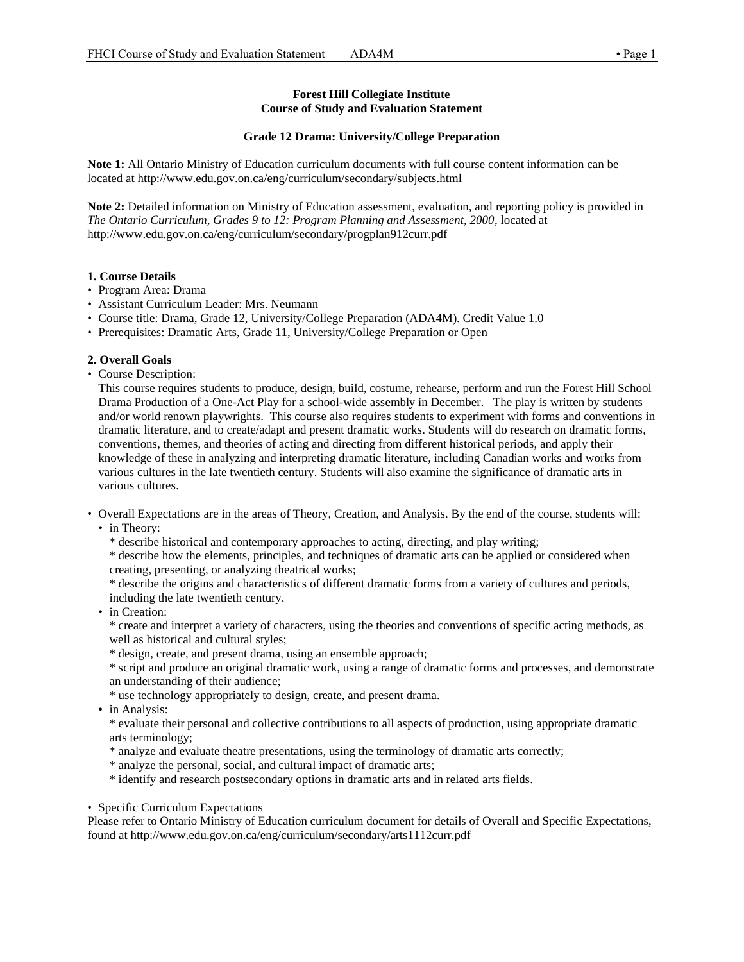# **Forest Hill Collegiate Institute Course of Study and Evaluation Statement**

## **Grade 12 Drama: University/College Preparation**

**Note 1:** All Ontario Ministry of Education curriculum documents with full course content information can be located at http://www.edu.gov.on.ca/eng/curriculum/secondary/subjects.html

**Note 2:** Detailed information on Ministry of Education assessment, evaluation, and reporting policy is provided in *The Ontario Curriculum, Grades 9 to 12: Program Planning and Assessment, 2000*, located at http://www.edu.gov.on.ca/eng/curriculum/secondary/progplan912curr.pdf

#### **1. Course Details**

- Program Area: Drama
- Assistant Curriculum Leader: Mrs. Neumann
- Course title: Drama, Grade 12, University/College Preparation (ADA4M). Credit Value 1.0
- Prerequisites: Dramatic Arts, Grade 11, University/College Preparation or Open

#### **2. Overall Goals**

• Course Description:

This course requires students to produce, design, build, costume, rehearse, perform and run the Forest Hill School Drama Production of a One-Act Play for a school-wide assembly in December. The play is written by students and/or world renown playwrights. This course also requires students to experiment with forms and conventions in dramatic literature, and to create/adapt and present dramatic works. Students will do research on dramatic forms, conventions, themes, and theories of acting and directing from different historical periods, and apply their knowledge of these in analyzing and interpreting dramatic literature, including Canadian works and works from various cultures in the late twentieth century. Students will also examine the significance of dramatic arts in various cultures.

- Overall Expectations are in the areas of Theory, Creation, and Analysis. By the end of the course, students will:
	- in Theory:
		- \* describe historical and contemporary approaches to acting, directing, and play writing;

\* describe how the elements, principles, and techniques of dramatic arts can be applied or considered when creating, presenting, or analyzing theatrical works;

\* describe the origins and characteristics of different dramatic forms from a variety of cultures and periods, including the late twentieth century.

• in Creation:

\* create and interpret a variety of characters, using the theories and conventions of specific acting methods, as well as historical and cultural styles;

\* design, create, and present drama, using an ensemble approach;

\* script and produce an original dramatic work, using a range of dramatic forms and processes, and demonstrate an understanding of their audience;

- \* use technology appropriately to design, create, and present drama.
- in Analysis:

\* evaluate their personal and collective contributions to all aspects of production, using appropriate dramatic arts terminology;

- \* analyze and evaluate theatre presentations, using the terminology of dramatic arts correctly;
- \* analyze the personal, social, and cultural impact of dramatic arts;
- \* identify and research postsecondary options in dramatic arts and in related arts fields.
- Specific Curriculum Expectations

Please refer to Ontario Ministry of Education curriculum document for details of Overall and Specific Expectations, found at http://www.edu.gov.on.ca/eng/curriculum/secondary/arts1112curr.pdf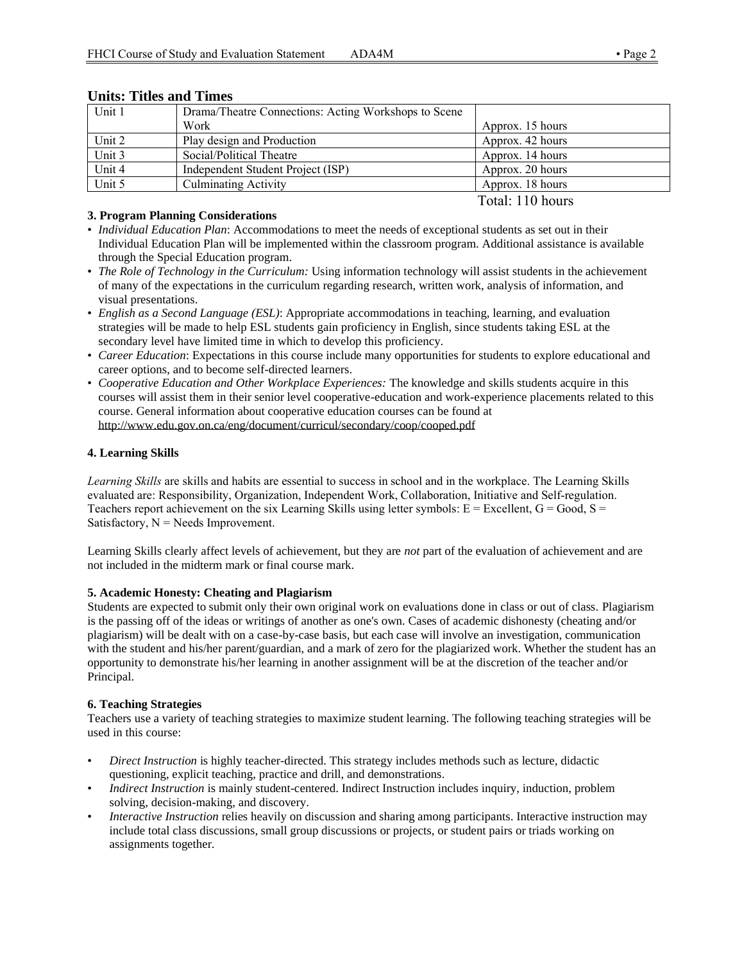| Unit 1 | Drama/Theatre Connections: Acting Workshops to Scene |                  |
|--------|------------------------------------------------------|------------------|
|        | Work                                                 | Approx. 15 hours |
| Unit 2 | Play design and Production                           | Approx. 42 hours |
| Unit 3 | Social/Political Theatre                             | Approx. 14 hours |
| Unit 4 | Independent Student Project (ISP)                    | Approx. 20 hours |
| Unit 5 | <b>Culminating Activity</b>                          | Approx. 18 hours |
|        |                                                      | Total: 110 hours |

# **Units: Titles and Times**

# **3. Program Planning Considerations**

- *Individual Education Plan*: Accommodations to meet the needs of exceptional students as set out in their Individual Education Plan will be implemented within the classroom program. Additional assistance is available through the Special Education program.
- *The Role of Technology in the Curriculum:* Using information technology will assist students in the achievement of many of the expectations in the curriculum regarding research, written work, analysis of information, and visual presentations.
- *English as a Second Language (ESL)*: Appropriate accommodations in teaching, learning, and evaluation strategies will be made to help ESL students gain proficiency in English, since students taking ESL at the secondary level have limited time in which to develop this proficiency.
- *Career Education*: Expectations in this course include many opportunities for students to explore educational and career options, and to become self-directed learners.
- *Cooperative Education and Other Workplace Experiences:* The knowledge and skills students acquire in this courses will assist them in their senior level cooperative-education and work-experience placements related to this course. General information about cooperative education courses can be found at http://www.edu.gov.on.ca/eng/document/curricul/secondary/coop/cooped.pdf

# **4. Learning Skills**

*Learning Skills* are skills and habits are essential to success in school and in the workplace. The Learning Skills evaluated are: Responsibility, Organization, Independent Work, Collaboration, Initiative and Self-regulation. Teachers report achievement on the six Learning Skills using letter symbols:  $E = Excellent$ ,  $G = Good$ ,  $S =$ Satisfactory,  $N =$  Needs Improvement.

Learning Skills clearly affect levels of achievement, but they are *not* part of the evaluation of achievement and are not included in the midterm mark or final course mark.

# **5. Academic Honesty: Cheating and Plagiarism**

Students are expected to submit only their own original work on evaluations done in class or out of class. Plagiarism is the passing off of the ideas or writings of another as one's own. Cases of academic dishonesty (cheating and/or plagiarism) will be dealt with on a case-by-case basis, but each case will involve an investigation, communication with the student and his/her parent/guardian, and a mark of zero for the plagiarized work. Whether the student has an opportunity to demonstrate his/her learning in another assignment will be at the discretion of the teacher and/or Principal.

# **6. Teaching Strategies**

Teachers use a variety of teaching strategies to maximize student learning. The following teaching strategies will be used in this course:

- *Direct Instruction* is highly teacher-directed. This strategy includes methods such as lecture, didactic questioning, explicit teaching, practice and drill, and demonstrations.
- *Indirect Instruction* is mainly student-centered. Indirect Instruction includes inquiry, induction, problem solving, decision-making, and discovery.
- *Interactive Instruction* relies heavily on discussion and sharing among participants. Interactive instruction may include total class discussions, small group discussions or projects, or student pairs or triads working on assignments together.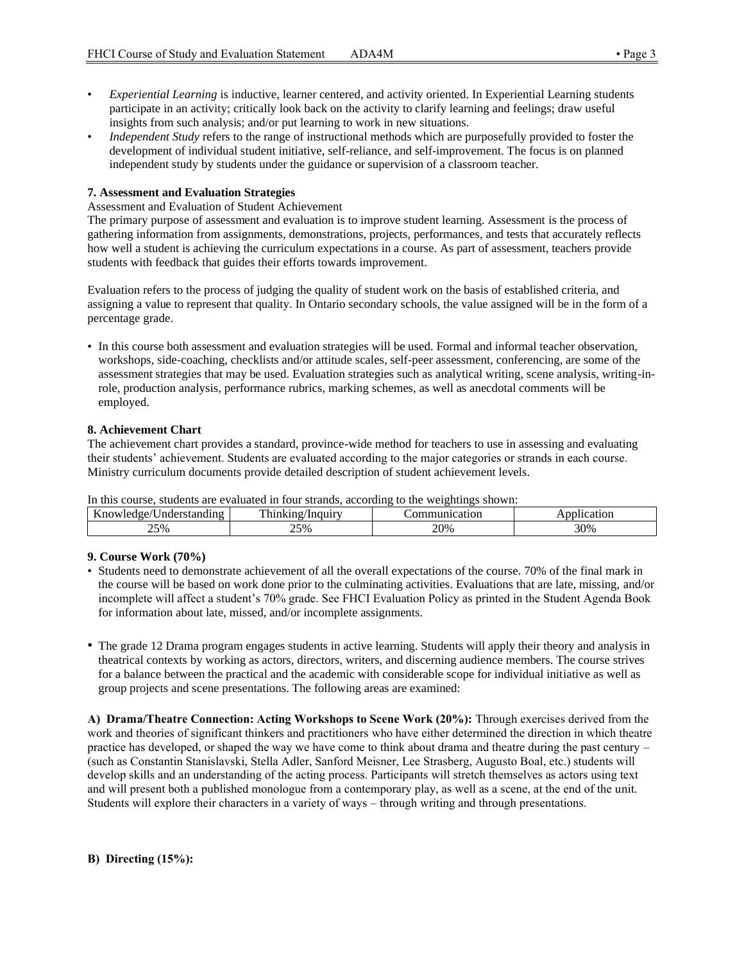- *Experiential Learning* is inductive, learner centered, and activity oriented. In Experiential Learning students participate in an activity; critically look back on the activity to clarify learning and feelings; draw useful insights from such analysis; and/or put learning to work in new situations.
- *Independent Study* refers to the range of instructional methods which are purposefully provided to foster the development of individual student initiative, self-reliance, and self-improvement. The focus is on planned independent study by students under the guidance or supervision of a classroom teacher.

#### **7. Assessment and Evaluation Strategies**

#### Assessment and Evaluation of Student Achievement

The primary purpose of assessment and evaluation is to improve student learning. Assessment is the process of gathering information from assignments, demonstrations, projects, performances, and tests that accurately reflects how well a student is achieving the curriculum expectations in a course. As part of assessment, teachers provide students with feedback that guides their efforts towards improvement.

Evaluation refers to the process of judging the quality of student work on the basis of established criteria, and assigning a value to represent that quality. In Ontario secondary schools, the value assigned will be in the form of a percentage grade.

• In this course both assessment and evaluation strategies will be used. Formal and informal teacher observation, workshops, side-coaching, checklists and/or attitude scales, self-peer assessment, conferencing, are some of the assessment strategies that may be used. Evaluation strategies such as analytical writing, scene analysis, writing-inrole, production analysis, performance rubrics, marking schemes, as well as anecdotal comments will be employed.

#### **8. Achievement Chart**

The achievement chart provides a standard, province-wide method for teachers to use in assessing and evaluating their students' achievement. Students are evaluated according to the major categories or strands in each course. Ministry curriculum documents provide detailed description of student achievement levels.

In this course, students are evaluated in four strands, according to the weightings shown:

| $-$<br>$\sim$ $\sim$<br>Inders<br>$\sim$ $\sim$ $\sim$ $\sim$ $\sim$<br>$n\alpha$ | <b>TH</b><br>7111447        | $\alpha$<br>Ħ | $\sim$ + $\sim$ $\sim$<br>101 |
|-----------------------------------------------------------------------------------|-----------------------------|---------------|-------------------------------|
| 25%                                                                               | nro.<br>$\frac{9}{0}$<br>سد | 20%           | 200<br>-76<br>υc              |

#### **9. Course Work (70%)**

- Students need to demonstrate achievement of all the overall expectations of the course. 70% of the final mark in the course will be based on work done prior to the culminating activities. Evaluations that are late, missing, and/or incomplete will affect a student's 70% grade. See FHCI Evaluation Policy as printed in the Student Agenda Book for information about late, missed, and/or incomplete assignments.
- The grade 12 Drama program engages students in active learning. Students will apply their theory and analysis in theatrical contexts by working as actors, directors, writers, and discerning audience members. The course strives for a balance between the practical and the academic with considerable scope for individual initiative as well as group projects and scene presentations. The following areas are examined:

**A) Drama/Theatre Connection: Acting Workshops to Scene Work (20%):** Through exercises derived from the work and theories of significant thinkers and practitioners who have either determined the direction in which theatre practice has developed, or shaped the way we have come to think about drama and theatre during the past century – (such as Constantin Stanislavski, Stella Adler, Sanford Meisner, Lee Strasberg, Augusto Boal, etc.) students will develop skills and an understanding of the acting process. Participants will stretch themselves as actors using text and will present both a published monologue from a contemporary play, as well as a scene, at the end of the unit. Students will explore their characters in a variety of ways – through writing and through presentations.

#### **B) Directing (15%):**